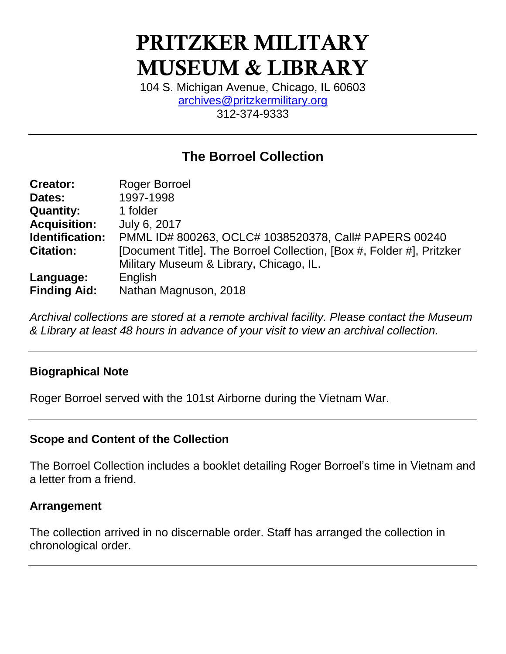# **PRITZKER MILITARY MUSEUM & LIBRARY**

104 S. Michigan Avenue, Chicago, IL 60603 [archives@pritzkermilitary.org](mailto:archives@pritzkermilitary.org) 312-374-9333

## **The Borroel Collection**

| <b>Creator:</b>     | <b>Roger Borroel</b>                                                  |  |  |  |
|---------------------|-----------------------------------------------------------------------|--|--|--|
| Dates:              | 1997-1998                                                             |  |  |  |
| <b>Quantity:</b>    | 1 folder                                                              |  |  |  |
| <b>Acquisition:</b> | July 6, 2017                                                          |  |  |  |
| Identification:     | PMML ID# 800263, OCLC# 1038520378, Call# PAPERS 00240                 |  |  |  |
| <b>Citation:</b>    | [Document Title]. The Borroel Collection, [Box #, Folder #], Pritzker |  |  |  |
|                     | Military Museum & Library, Chicago, IL.                               |  |  |  |
| Language:           | English                                                               |  |  |  |
| <b>Finding Aid:</b> | Nathan Magnuson, 2018                                                 |  |  |  |

*Archival collections are stored at a remote archival facility. Please contact the Museum & Library at least 48 hours in advance of your visit to view an archival collection.*

## **Biographical Note**

Roger Borroel served with the 101st Airborne during the Vietnam War.

## **Scope and Content of the Collection**

The Borroel Collection includes a booklet detailing Roger Borroel's time in Vietnam and a letter from a friend.

## **Arrangement**

The collection arrived in no discernable order. Staff has arranged the collection in chronological order.